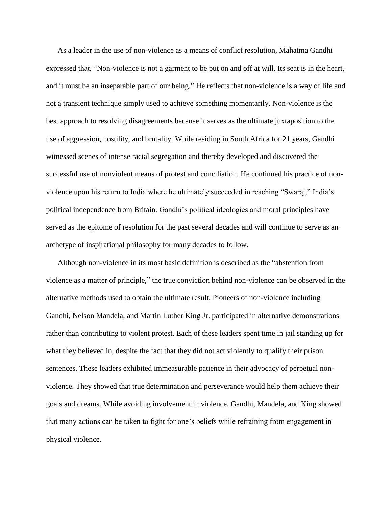As a leader in the use of non-violence as a means of conflict resolution, Mahatma Gandhi expressed that, ["Non-violence is not a garment to be put on and off at will. Its seat is in the heart,](http://www.brainyquote.com/quotes/quotes/m/mahatmagan164017.html)  [and it must be an inseparable part of our being."](http://www.brainyquote.com/quotes/quotes/m/mahatmagan164017.html) He reflects that non-violence is a way of life and not a transient technique simply used to achieve something momentarily. Non-violence is the best approach to resolving disagreements because it serves as the ultimate juxtaposition to the use of aggression, hostility, and brutality. While residing in South Africa for 21 years, Gandhi witnessed scenes of intense racial segregation and thereby developed and discovered the successful use of nonviolent means of protest and conciliation. He continued his practice of nonviolence upon his return to India where he ultimately succeeded in reaching "Swaraj," India's political independence from Britain. Gandhi's political ideologies and moral principles have served as the epitome of resolution for the past several decades and will continue to serve as an archetype of inspirational philosophy for many decades to follow.

Although non-violence in its most basic definition is described as the "abstention from violence as a matter of principle," the true conviction behind non-violence can be observed in the alternative methods used to obtain the ultimate result. Pioneers of non-violence including Gandhi, Nelson Mandela, and Martin Luther King Jr. participated in alternative demonstrations rather than contributing to violent protest. Each of these leaders spent time in jail standing up for what they believed in, despite the fact that they did not act violently to qualify their prison sentences. These leaders exhibited immeasurable patience in their advocacy of perpetual nonviolence. They showed that true determination and perseverance would help them achieve their goals and dreams. While avoiding involvement in violence, Gandhi, Mandela, and King showed that many actions can be taken to fight for one's beliefs while refraining from engagement in physical violence.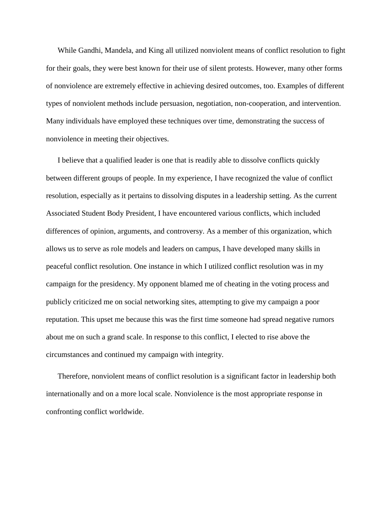While Gandhi, Mandela, and King all utilized nonviolent means of conflict resolution to fight for their goals, they were best known for their use of silent protests. However, many other forms of nonviolence are extremely effective in achieving desired outcomes, too. Examples of different types of nonviolent methods include persuasion, negotiation, non-cooperation, and intervention. Many individuals have employed these techniques over time, demonstrating the success of nonviolence in meeting their objectives.

I believe that a qualified leader is one that is readily able to dissolve conflicts quickly between different groups of people. In my experience, I have recognized the value of conflict resolution, especially as it pertains to dissolving disputes in a leadership setting. As the current Associated Student Body President, I have encountered various conflicts, which included differences of opinion, arguments, and controversy. As a member of this organization, which allows us to serve as role models and leaders on campus, I have developed many skills in peaceful conflict resolution. One instance in which I utilized conflict resolution was in my campaign for the presidency. My opponent blamed me of cheating in the voting process and publicly criticized me on social networking sites, attempting to give my campaign a poor reputation. This upset me because this was the first time someone had spread negative rumors about me on such a grand scale. In response to this conflict, I elected to rise above the circumstances and continued my campaign with integrity.

Therefore, nonviolent means of conflict resolution is a significant factor in leadership both internationally and on a more local scale. Nonviolence is the most appropriate response in confronting conflict worldwide.